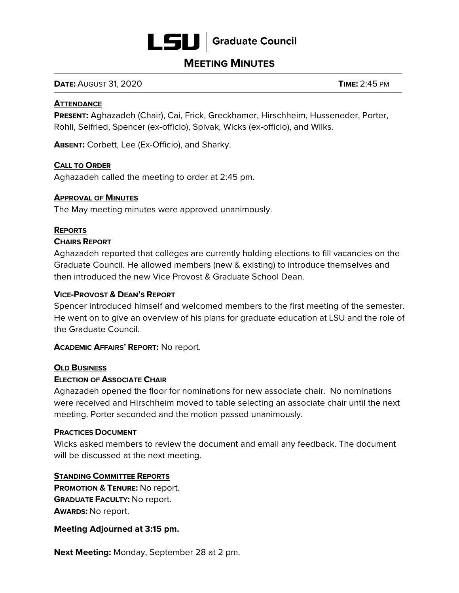

## **MEETING MINUTES**

**DATE:** AUGUST 31, 2020 **TIME:** 2:45 PM

#### **ATTENDANCE**

**PRESENT:** Aghazadeh (Chair), Cai, Frick, Greckhamer, Hirschheim, Husseneder, Porter, Rohli, Seifried, Spencer (ex-officio), Spivak, Wicks (ex-officio), and Wilks.

**ABSENT:** Corbett, Lee (Ex-Officio), and Sharky.

## **CALL TO ORDER**

Aghazadeh called the meeting to order at 2:45 pm.

### **APPROVAL OF MINUTES**

The May meeting minutes were approved unanimously.

### **REPORTS**

### **CHAIRS REPORT**

Aghazadeh reported that colleges are currently holding elections to fill vacancies on the Graduate Council. He allowed members (new & existing) to introduce themselves and then introduced the new Vice Provost & Graduate School Dean.

## **VICE-PROVOST & DEAN'S REPORT**

Spencer introduced himself and welcomed members to the first meeting of the semester. He went on to give an overview of his plans for graduate education at LSU and the role of the Graduate Council.

## **ACADEMIC AFFAIRS' REPORT:** No report.

#### **OLD BUSINESS**

#### **ELECTION OF ASSOCIATE CHAIR**

Aghazadeh opened the floor for nominations for new associate chair. No nominations were received and Hirschheim moved to table selecting an associate chair until the next meeting. Porter seconded and the motion passed unanimously.

#### **PRACTICES DOCUMENT**

Wicks asked members to review the document and email any feedback. The document will be discussed at the next meeting.

## **STANDING COMMITTEE REPORTS**

 **PROMOTION & TENURE:** No report.  **GRADUATE FACULTY:** No report. **AWARDS:** No report.

#### **Meeting Adjourned at 3:15 pm.**

**Next Meeting:** Monday, September 28 at 2 pm.